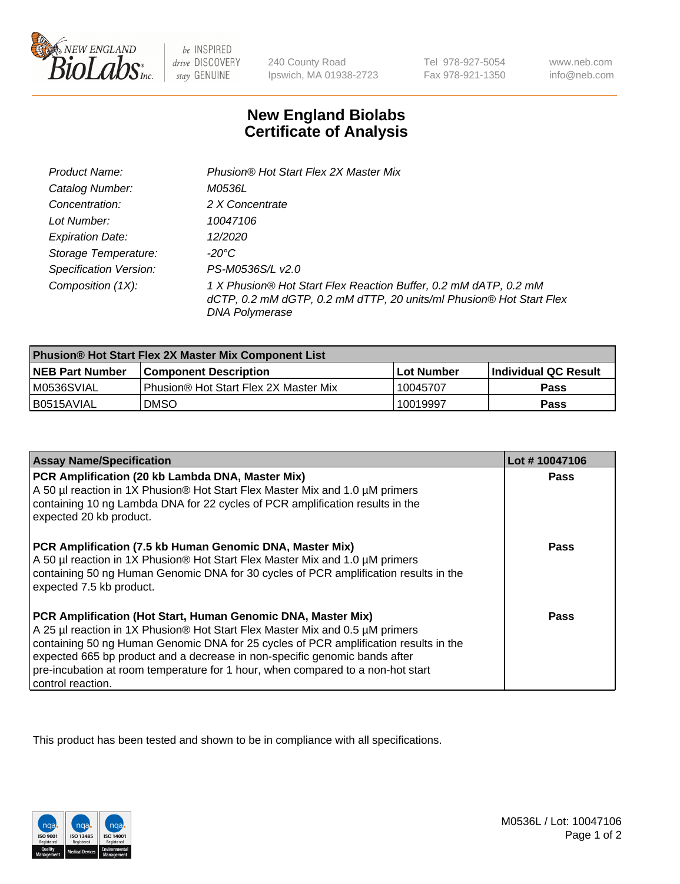

be INSPIRED drive DISCOVERY stay GENUINE

240 County Road Ipswich, MA 01938-2723

Tel 978-927-5054 Fax 978-921-1350

www.neb.com info@neb.com

## **New England Biolabs Certificate of Analysis**

| Product Name:                 | Phusion® Hot Start Flex 2X Master Mix                                                                                                                     |
|-------------------------------|-----------------------------------------------------------------------------------------------------------------------------------------------------------|
| Catalog Number:               | <i>M0536L</i>                                                                                                                                             |
| Concentration:                | 2 X Concentrate                                                                                                                                           |
| Lot Number:                   | 10047106                                                                                                                                                  |
| <b>Expiration Date:</b>       | 12/2020                                                                                                                                                   |
| Storage Temperature:          | -20°C                                                                                                                                                     |
| <b>Specification Version:</b> | PS-M0536S/L v2.0                                                                                                                                          |
| Composition (1X):             | 1 X Phusion® Hot Start Flex Reaction Buffer, 0.2 mM dATP, 0.2 mM<br>dCTP, 0.2 mM dGTP, 0.2 mM dTTP, 20 units/ml Phusion® Hot Start Flex<br>DNA Polymerase |

| Phusion® Hot Start Flex 2X Master Mix Component List |                                       |                   |                             |  |
|------------------------------------------------------|---------------------------------------|-------------------|-----------------------------|--|
| <b>NEB Part Number</b>                               | l Component Description               | <b>Lot Number</b> | <b>Individual QC Result</b> |  |
| M0536SVIAL                                           | Phusion® Hot Start Flex 2X Master Mix | 10045707          | Pass                        |  |
| I B0515AVIAL                                         | <b>DMSO</b>                           | 10019997          | <b>Pass</b>                 |  |

| <b>Assay Name/Specification</b>                                                                                                                                                                                                                                                                                                                                                                                            | Lot #10047106 |
|----------------------------------------------------------------------------------------------------------------------------------------------------------------------------------------------------------------------------------------------------------------------------------------------------------------------------------------------------------------------------------------------------------------------------|---------------|
| PCR Amplification (20 kb Lambda DNA, Master Mix)<br>A 50 µl reaction in 1X Phusion® Hot Start Flex Master Mix and 1.0 µM primers<br>containing 10 ng Lambda DNA for 22 cycles of PCR amplification results in the<br>expected 20 kb product.                                                                                                                                                                               | <b>Pass</b>   |
| PCR Amplification (7.5 kb Human Genomic DNA, Master Mix)<br>A 50 µl reaction in 1X Phusion® Hot Start Flex Master Mix and 1.0 µM primers<br>containing 50 ng Human Genomic DNA for 30 cycles of PCR amplification results in the<br>expected 7.5 kb product.                                                                                                                                                               | Pass          |
| PCR Amplification (Hot Start, Human Genomic DNA, Master Mix)<br>A 25 µl reaction in 1X Phusion® Hot Start Flex Master Mix and 0.5 µM primers<br>containing 50 ng Human Genomic DNA for 25 cycles of PCR amplification results in the<br>expected 665 bp product and a decrease in non-specific genomic bands after<br>pre-incubation at room temperature for 1 hour, when compared to a non-hot start<br>control reaction. | Pass          |

This product has been tested and shown to be in compliance with all specifications.